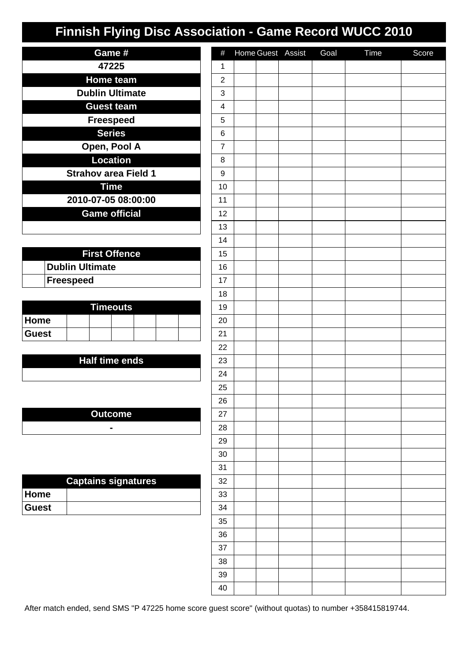| Game #                      |  |  |  |  |  |  |  |
|-----------------------------|--|--|--|--|--|--|--|
| 47225                       |  |  |  |  |  |  |  |
| <b>Home team</b>            |  |  |  |  |  |  |  |
| <b>Dublin Ultimate</b>      |  |  |  |  |  |  |  |
| <b>Guest team</b>           |  |  |  |  |  |  |  |
| <b>Freespeed</b>            |  |  |  |  |  |  |  |
| <b>Series</b>               |  |  |  |  |  |  |  |
| Open, Pool A                |  |  |  |  |  |  |  |
| <b>Location</b>             |  |  |  |  |  |  |  |
| <b>Strahov area Field 1</b> |  |  |  |  |  |  |  |
| <b>Time</b>                 |  |  |  |  |  |  |  |
| 2010-07-05 08:00:00         |  |  |  |  |  |  |  |
| <b>Game official</b>        |  |  |  |  |  |  |  |
|                             |  |  |  |  |  |  |  |

| <b>First Offence</b>   |  |  |  |  |  |
|------------------------|--|--|--|--|--|
| <b>Dublin Ultimate</b> |  |  |  |  |  |
| <b>Freespeed</b>       |  |  |  |  |  |

| <b>Timeouts</b> |  |  |  |  |  |  |
|-----------------|--|--|--|--|--|--|
| <b>Home</b>     |  |  |  |  |  |  |
| <b>Guest</b>    |  |  |  |  |  |  |

### **Half time ends**

**Outcome -**

| <b>Captains signatures</b> |  |  |  |  |  |  |
|----------------------------|--|--|--|--|--|--|
| ∣Home                      |  |  |  |  |  |  |
| <b>Guest</b>               |  |  |  |  |  |  |

| $\#$                      | Home Guest Assist | Goal | <b>Time</b> | Score |
|---------------------------|-------------------|------|-------------|-------|
| $\mathbf 1$               |                   |      |             |       |
| $\boldsymbol{2}$          |                   |      |             |       |
| $\ensuremath{\mathsf{3}}$ |                   |      |             |       |
| $\overline{\mathbf{4}}$   |                   |      |             |       |
| 5                         |                   |      |             |       |
| $\,6$                     |                   |      |             |       |
| $\overline{7}$            |                   |      |             |       |
| 8                         |                   |      |             |       |
| $\boldsymbol{9}$          |                   |      |             |       |
| 10                        |                   |      |             |       |
| 11                        |                   |      |             |       |
| 12                        |                   |      |             |       |
| 13                        |                   |      |             |       |
| 14                        |                   |      |             |       |
| 15                        |                   |      |             |       |
| 16                        |                   |      |             |       |
| 17                        |                   |      |             |       |
| 18                        |                   |      |             |       |
| $19$                      |                   |      |             |       |
| 20                        |                   |      |             |       |
| 21                        |                   |      |             |       |
| 22                        |                   |      |             |       |
| 23                        |                   |      |             |       |
| 24                        |                   |      |             |       |
| 25                        |                   |      |             |       |
| 26                        |                   |      |             |       |
| 27                        |                   |      |             |       |
| 28                        |                   |      |             |       |
| 29                        |                   |      |             |       |
| $30\,$                    |                   |      |             |       |
| 31                        |                   |      |             |       |
| 32                        |                   |      |             |       |
| 33                        |                   |      |             |       |
| 34                        |                   |      |             |       |
| $35\,$                    |                   |      |             |       |
| $36\,$                    |                   |      |             |       |
| $37\,$                    |                   |      |             |       |
| $38\,$                    |                   |      |             |       |
| 39                        |                   |      |             |       |
| 40                        |                   |      |             |       |

After match ended, send SMS "P 47225 home score guest score" (without quotas) to number +358415819744.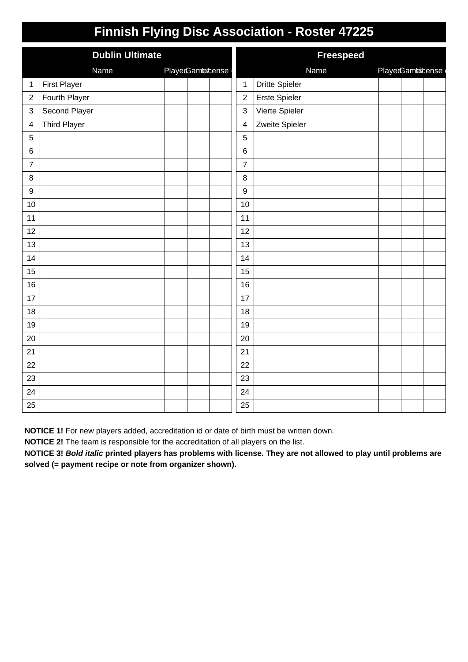|                  | Finnish Flying Disc Association - Roster 47225 |                 |                         |                       |                  |  |  |  |
|------------------|------------------------------------------------|-----------------|-------------------------|-----------------------|------------------|--|--|--|
|                  | <b>Dublin Ultimate</b>                         |                 | <b>Freespeed</b>        |                       |                  |  |  |  |
|                  | Name                                           | PlayeGambicense |                         | <b>Name</b>           | PlayedGambicense |  |  |  |
| 1                | <b>First Player</b>                            |                 | $\mathbf{1}$            | <b>Dritte Spieler</b> |                  |  |  |  |
| $\boldsymbol{2}$ | Fourth Player                                  |                 | $\overline{2}$          | <b>Erste Spieler</b>  |                  |  |  |  |
| 3                | Second Player                                  |                 | 3                       | Vierte Spieler        |                  |  |  |  |
| 4                | <b>Third Player</b>                            |                 | $\overline{\mathbf{4}}$ | Zweite Spieler        |                  |  |  |  |
| 5                |                                                |                 | 5                       |                       |                  |  |  |  |
| 6                |                                                |                 | $\,6$                   |                       |                  |  |  |  |
| $\boldsymbol{7}$ |                                                |                 | $\overline{7}$          |                       |                  |  |  |  |
| 8                |                                                |                 | 8                       |                       |                  |  |  |  |
| $9\,$            |                                                |                 | 9                       |                       |                  |  |  |  |
| 10               |                                                |                 | 10                      |                       |                  |  |  |  |
| 11               |                                                |                 | 11                      |                       |                  |  |  |  |
| 12               |                                                |                 | 12                      |                       |                  |  |  |  |
| 13               |                                                |                 | 13                      |                       |                  |  |  |  |
| 14               |                                                |                 | 14                      |                       |                  |  |  |  |
| 15               |                                                |                 | 15                      |                       |                  |  |  |  |
| 16               |                                                |                 | 16                      |                       |                  |  |  |  |
| 17               |                                                |                 | 17                      |                       |                  |  |  |  |
| 18               |                                                |                 | 18                      |                       |                  |  |  |  |
| 19               |                                                |                 | 19                      |                       |                  |  |  |  |
| 20               |                                                |                 | 20                      |                       |                  |  |  |  |
| 21               |                                                |                 | 21                      |                       |                  |  |  |  |
| 22               |                                                |                 | 22                      |                       |                  |  |  |  |
| 23               |                                                |                 | 23                      |                       |                  |  |  |  |
| 24               |                                                |                 | 24                      |                       |                  |  |  |  |
| 25               |                                                |                 | 25                      |                       |                  |  |  |  |

**NOTICE 1!** For new players added, accreditation id or date of birth must be written down.

**NOTICE 2!** The team is responsible for the accreditation of all players on the list.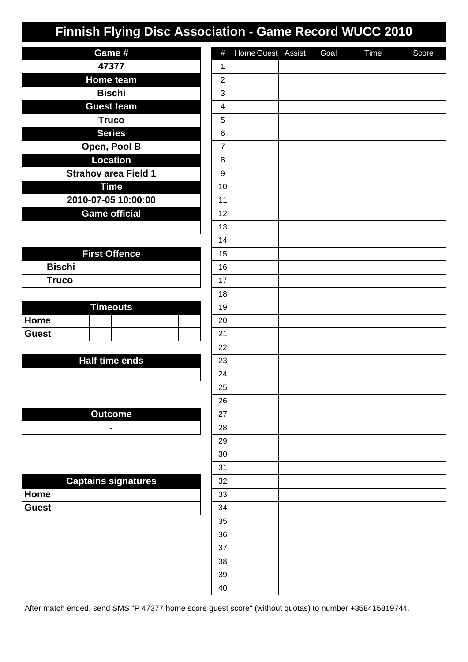| Game #                      |
|-----------------------------|
| 47377                       |
| <b>Home team</b>            |
| <b>Bischi</b>               |
| <b>Guest team</b>           |
| <b>Truco</b>                |
| <b>Series</b>               |
| Open, Pool B                |
| <b>Location</b>             |
| <b>Strahov area Field 1</b> |
| <b>Time</b>                 |
| 2010-07-05 10:00:00         |
| <b>Game official</b>        |
|                             |

| <b>First Offence</b> |         |  |  |  |
|----------------------|---------|--|--|--|
|                      | ∣Bischi |  |  |  |
|                      | Truco   |  |  |  |

| <b>Timeouts</b> |  |  |  |  |  |  |
|-----------------|--|--|--|--|--|--|
| <b>Home</b>     |  |  |  |  |  |  |
| <b>Guest</b>    |  |  |  |  |  |  |

### **Half time ends**

**Outcome -**

| <b>Captains signatures</b> |  |  |  |  |  |
|----------------------------|--|--|--|--|--|
| ∣Home                      |  |  |  |  |  |
| <b>Guest</b>               |  |  |  |  |  |

| $\#$                      |  | Home Guest Assist | Goal | Time | Score |
|---------------------------|--|-------------------|------|------|-------|
| $\mathbf 1$               |  |                   |      |      |       |
| $\overline{c}$            |  |                   |      |      |       |
| $\ensuremath{\mathsf{3}}$ |  |                   |      |      |       |
| $\overline{\mathbf{4}}$   |  |                   |      |      |       |
| $\mathbf 5$               |  |                   |      |      |       |
| 6                         |  |                   |      |      |       |
| $\boldsymbol{7}$          |  |                   |      |      |       |
| 8                         |  |                   |      |      |       |
| 9                         |  |                   |      |      |       |
| $10$                      |  |                   |      |      |       |
| 11                        |  |                   |      |      |       |
| 12                        |  |                   |      |      |       |
| 13                        |  |                   |      |      |       |
| 14                        |  |                   |      |      |       |
| 15                        |  |                   |      |      |       |
| 16                        |  |                   |      |      |       |
| $17$                      |  |                   |      |      |       |
| 18                        |  |                   |      |      |       |
| 19                        |  |                   |      |      |       |
| 20                        |  |                   |      |      |       |
| 21                        |  |                   |      |      |       |
| 22                        |  |                   |      |      |       |
| 23                        |  |                   |      |      |       |
| 24                        |  |                   |      |      |       |
| 25                        |  |                   |      |      |       |
| 26                        |  |                   |      |      |       |
| 27                        |  |                   |      |      |       |
| ${\bf 28}$                |  |                   |      |      |       |
| 29                        |  |                   |      |      |       |
| $30\,$                    |  |                   |      |      |       |
| 31                        |  |                   |      |      |       |
| 32                        |  |                   |      |      |       |
| $33\,$                    |  |                   |      |      |       |
| 34                        |  |                   |      |      |       |
| $35\,$                    |  |                   |      |      |       |
| $36\,$                    |  |                   |      |      |       |
| $37\,$                    |  |                   |      |      |       |
| $38\,$                    |  |                   |      |      |       |
| 39                        |  |                   |      |      |       |
| 40                        |  |                   |      |      |       |

After match ended, send SMS "P 47377 home score guest score" (without quotas) to number +358415819744.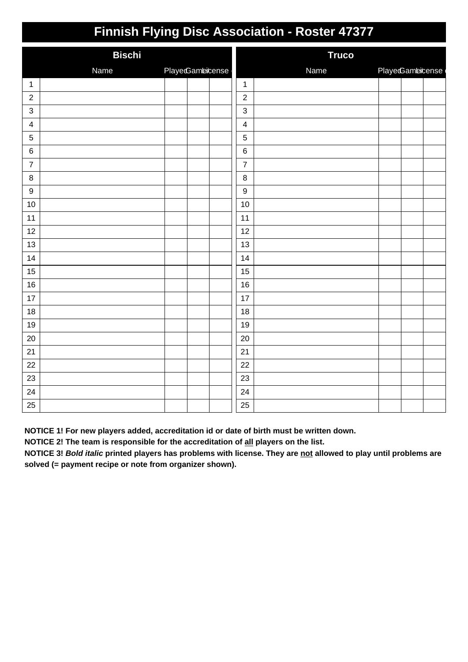| <b>Bischi</b>             |      |                 |                  | <b>Truco</b> |                  |  |  |
|---------------------------|------|-----------------|------------------|--------------|------------------|--|--|
|                           | Name | PlayeGambicense |                  | Name         | PlayedGambicense |  |  |
| $\mathbf{1}$              |      |                 | $\mathbf{1}$     |              |                  |  |  |
| $\overline{2}$            |      |                 | $\sqrt{2}$       |              |                  |  |  |
| $\ensuremath{\mathsf{3}}$ |      |                 | $\mathbf{3}$     |              |                  |  |  |
| $\overline{\mathbf{4}}$   |      |                 | $\overline{4}$   |              |                  |  |  |
| $\overline{5}$            |      |                 | $\sqrt{5}$       |              |                  |  |  |
| $\,6\,$                   |      |                 | $\,6\,$          |              |                  |  |  |
| $\overline{7}$            |      |                 | $\overline{7}$   |              |                  |  |  |
| $\bf 8$                   |      |                 | 8                |              |                  |  |  |
| $\boldsymbol{9}$          |      |                 | $\boldsymbol{9}$ |              |                  |  |  |
| 10                        |      |                 | 10               |              |                  |  |  |
| 11                        |      |                 | 11               |              |                  |  |  |
| 12                        |      |                 | 12               |              |                  |  |  |
| 13                        |      |                 | 13               |              |                  |  |  |
| 14                        |      |                 | 14               |              |                  |  |  |
| 15                        |      |                 | 15               |              |                  |  |  |
| 16                        |      |                 | 16               |              |                  |  |  |
| 17                        |      |                 | 17               |              |                  |  |  |
| 18                        |      |                 | 18               |              |                  |  |  |
| 19                        |      |                 | 19               |              |                  |  |  |
| 20                        |      |                 | 20               |              |                  |  |  |
| 21                        |      |                 | 21               |              |                  |  |  |
| 22                        |      |                 | 22               |              |                  |  |  |
| 23                        |      |                 | 23               |              |                  |  |  |
| 24                        |      |                 | 24               |              |                  |  |  |
| 25                        |      |                 | 25               |              |                  |  |  |

**NOTICE 1! For new players added, accreditation id or date of birth must be written down.**

**NOTICE 2! The team is responsible for the accreditation of all players on the list.**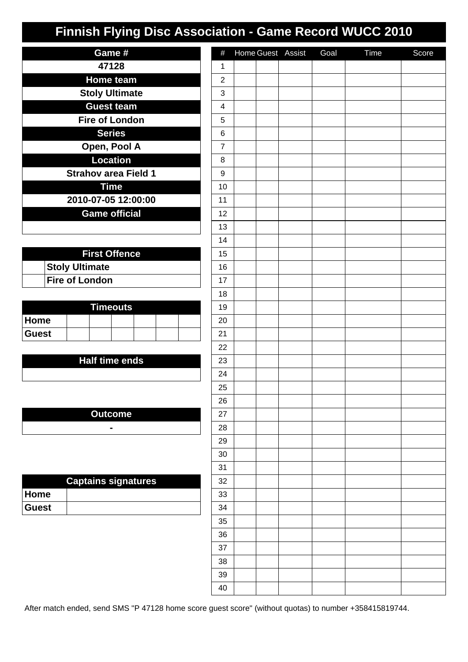| Game #                      |
|-----------------------------|
| 47128                       |
| <b>Home team</b>            |
| <b>Stoly Ultimate</b>       |
| <b>Guest team</b>           |
| <b>Fire of London</b>       |
| <b>Series</b>               |
| Open, Pool A                |
| <b>Location</b>             |
| <b>Strahov area Field 1</b> |
| <b>Time</b>                 |
| 2010-07-05 12:00:00         |
| Game official               |
|                             |

| <b>First Offence</b>  |  |  |  |  |  |
|-----------------------|--|--|--|--|--|
| <b>Stoly Ultimate</b> |  |  |  |  |  |
| <b>Fire of London</b> |  |  |  |  |  |

| Timeouts.    |  |  |  |  |  |  |  |
|--------------|--|--|--|--|--|--|--|
| <b>Home</b>  |  |  |  |  |  |  |  |
| <b>Guest</b> |  |  |  |  |  |  |  |

#### **Half time ends**

**Outcome -**

| <b>Captains signatures</b> |  |  |  |  |  |  |
|----------------------------|--|--|--|--|--|--|
| ∣Home                      |  |  |  |  |  |  |
| ∣Guest                     |  |  |  |  |  |  |

| $\#$                    |  | Home Guest Assist | Goal | Time | Score |
|-------------------------|--|-------------------|------|------|-------|
| $\mathbf 1$             |  |                   |      |      |       |
| $\overline{c}$          |  |                   |      |      |       |
| 3                       |  |                   |      |      |       |
| $\overline{\mathbf{4}}$ |  |                   |      |      |       |
| $\mathbf 5$             |  |                   |      |      |       |
| 6                       |  |                   |      |      |       |
| $\boldsymbol{7}$        |  |                   |      |      |       |
| 8                       |  |                   |      |      |       |
| 9                       |  |                   |      |      |       |
| 10                      |  |                   |      |      |       |
| 11                      |  |                   |      |      |       |
| 12                      |  |                   |      |      |       |
| 13                      |  |                   |      |      |       |
| 14                      |  |                   |      |      |       |
| 15                      |  |                   |      |      |       |
| $16\,$                  |  |                   |      |      |       |
| 17                      |  |                   |      |      |       |
| 18                      |  |                   |      |      |       |
| 19                      |  |                   |      |      |       |
| $20\,$                  |  |                   |      |      |       |
| 21                      |  |                   |      |      |       |
| 22                      |  |                   |      |      |       |
| 23                      |  |                   |      |      |       |
| 24                      |  |                   |      |      |       |
| 25                      |  |                   |      |      |       |
| 26                      |  |                   |      |      |       |
| 27                      |  |                   |      |      |       |
| 28                      |  |                   |      |      |       |
| 29                      |  |                   |      |      |       |
| $30\,$                  |  |                   |      |      |       |
| 31                      |  |                   |      |      |       |
| 32                      |  |                   |      |      |       |
| 33                      |  |                   |      |      |       |
| 34                      |  |                   |      |      |       |
| $35\,$                  |  |                   |      |      |       |
| $36\,$                  |  |                   |      |      |       |
| $37\,$                  |  |                   |      |      |       |
| $38\,$                  |  |                   |      |      |       |
| 39                      |  |                   |      |      |       |
| $40\,$                  |  |                   |      |      |       |

After match ended, send SMS "P 47128 home score guest score" (without quotas) to number +358415819744.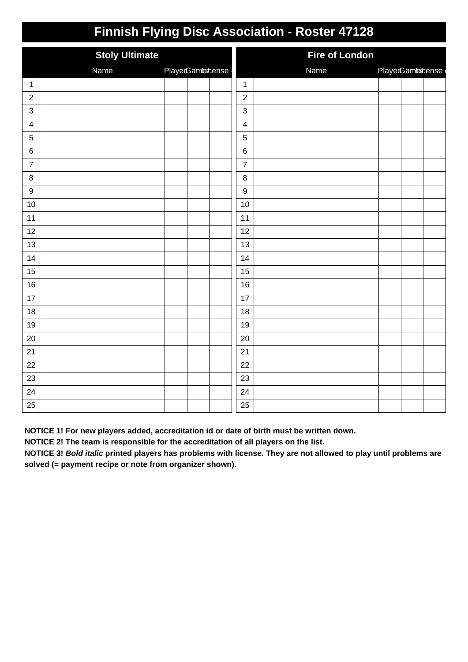|                         | <b>Stoly Ultimate</b> |                 | <b>Fire of London</b> |      |                 |  |
|-------------------------|-----------------------|-----------------|-----------------------|------|-----------------|--|
|                         | Name                  | PlayeGambicense |                       | Name | PlayeGambicense |  |
| $\mathbf{1}$            |                       |                 | $\mathbf{1}$          |      |                 |  |
| $\sqrt{2}$              |                       |                 | $\boldsymbol{2}$      |      |                 |  |
| $\mathbf{3}$            |                       |                 | $\mathbf{3}$          |      |                 |  |
| $\overline{\mathbf{4}}$ |                       |                 | $\overline{4}$        |      |                 |  |
| $\overline{5}$          |                       |                 | 5                     |      |                 |  |
| $\,6$                   |                       |                 | $\,6$                 |      |                 |  |
| $\overline{7}$          |                       |                 | $\overline{7}$        |      |                 |  |
| $\, 8$                  |                       |                 | $\bf 8$               |      |                 |  |
| $\boldsymbol{9}$        |                       |                 | $\boldsymbol{9}$      |      |                 |  |
| 10                      |                       |                 | 10                    |      |                 |  |
| 11                      |                       |                 | 11                    |      |                 |  |
| 12                      |                       |                 | 12                    |      |                 |  |
| 13                      |                       |                 | 13                    |      |                 |  |
| 14                      |                       |                 | 14                    |      |                 |  |
| $15\,$                  |                       |                 | 15                    |      |                 |  |
| 16                      |                       |                 | 16                    |      |                 |  |
| 17                      |                       |                 | 17                    |      |                 |  |
| 18                      |                       |                 | 18                    |      |                 |  |
| 19                      |                       |                 | 19                    |      |                 |  |
| 20                      |                       |                 | 20                    |      |                 |  |
| 21                      |                       |                 | 21                    |      |                 |  |
| 22                      |                       |                 | 22                    |      |                 |  |
| 23                      |                       |                 | 23                    |      |                 |  |
| 24                      |                       |                 | 24                    |      |                 |  |
| 25                      |                       |                 | 25                    |      |                 |  |

**NOTICE 1! For new players added, accreditation id or date of birth must be written down.**

**NOTICE 2! The team is responsible for the accreditation of all players on the list.**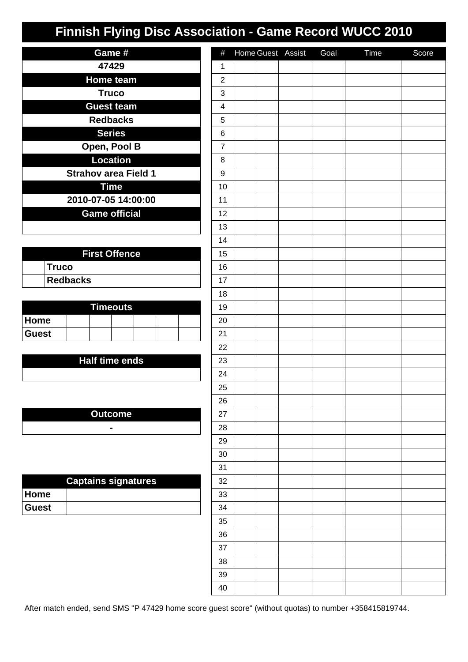| Game #                      |
|-----------------------------|
| 47429                       |
| <b>Home team</b>            |
| Truco                       |
| <b>Guest team</b>           |
| <b>Redbacks</b>             |
| <b>Series</b>               |
| Open, Pool B                |
| <b>Location</b>             |
| <b>Strahov area Field 1</b> |
| <b>Time</b>                 |
| 2010-07-05 14:00:00         |
| <b>Game official</b>        |
|                             |

| <b>First Offence</b> |              |  |  |  |
|----------------------|--------------|--|--|--|
|                      | <b>Truco</b> |  |  |  |
|                      | Redbacks     |  |  |  |

| <b>Timeouts</b> |  |  |  |  |  |  |
|-----------------|--|--|--|--|--|--|
| <b>Home</b>     |  |  |  |  |  |  |
| <b>Guest</b>    |  |  |  |  |  |  |

#### **Half time ends**

**Outcome -**

| <b>Captains signatures</b> |  |  |  |  |  |  |
|----------------------------|--|--|--|--|--|--|
| ∣Home                      |  |  |  |  |  |  |
| <b>Guest</b>               |  |  |  |  |  |  |

| $\#$                      |  | Home Guest Assist | Goal | Time | Score |
|---------------------------|--|-------------------|------|------|-------|
| $\mathbf 1$               |  |                   |      |      |       |
| $\boldsymbol{2}$          |  |                   |      |      |       |
| $\ensuremath{\mathsf{3}}$ |  |                   |      |      |       |
| $\overline{\mathbf{4}}$   |  |                   |      |      |       |
| 5                         |  |                   |      |      |       |
| 6                         |  |                   |      |      |       |
| $\overline{7}$            |  |                   |      |      |       |
| 8                         |  |                   |      |      |       |
| 9                         |  |                   |      |      |       |
| 10                        |  |                   |      |      |       |
| 11                        |  |                   |      |      |       |
| 12                        |  |                   |      |      |       |
| 13                        |  |                   |      |      |       |
| 14                        |  |                   |      |      |       |
| 15                        |  |                   |      |      |       |
| $16\,$                    |  |                   |      |      |       |
| 17                        |  |                   |      |      |       |
| 18                        |  |                   |      |      |       |
| 19                        |  |                   |      |      |       |
| $20\,$                    |  |                   |      |      |       |
| 21                        |  |                   |      |      |       |
| 22                        |  |                   |      |      |       |
| 23                        |  |                   |      |      |       |
| 24                        |  |                   |      |      |       |
| 25                        |  |                   |      |      |       |
| 26                        |  |                   |      |      |       |
| 27                        |  |                   |      |      |       |
| 28                        |  |                   |      |      |       |
| 29                        |  |                   |      |      |       |
| $30\,$                    |  |                   |      |      |       |
| 31                        |  |                   |      |      |       |
| 32                        |  |                   |      |      |       |
| 33                        |  |                   |      |      |       |
| 34                        |  |                   |      |      |       |
| $35\,$                    |  |                   |      |      |       |
| $36\,$                    |  |                   |      |      |       |
| $37\,$                    |  |                   |      |      |       |
| $38\,$                    |  |                   |      |      |       |
| 39                        |  |                   |      |      |       |
| 40                        |  |                   |      |      |       |

After match ended, send SMS "P 47429 home score guest score" (without quotas) to number +358415819744.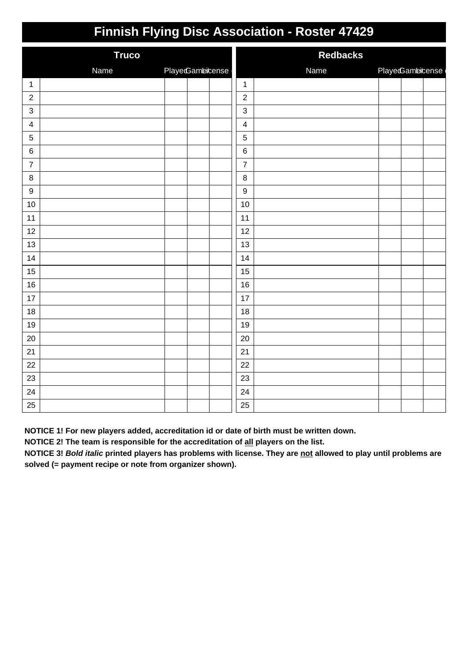| <b>Truco</b>              |      |                 |                  | <b>Redbacks</b> |                  |  |  |
|---------------------------|------|-----------------|------------------|-----------------|------------------|--|--|
|                           | Name | PlayeGambicense |                  | Name            | PlayedGambicense |  |  |
| $\mathbf{1}$              |      |                 | $\mathbf{1}$     |                 |                  |  |  |
| $\overline{2}$            |      |                 | $\sqrt{2}$       |                 |                  |  |  |
| $\ensuremath{\mathsf{3}}$ |      |                 | $\mathbf{3}$     |                 |                  |  |  |
| $\overline{4}$            |      |                 | $\overline{4}$   |                 |                  |  |  |
| $\overline{5}$            |      |                 | $\sqrt{5}$       |                 |                  |  |  |
| $\,6\,$                   |      |                 | $\,6\,$          |                 |                  |  |  |
| $\overline{7}$            |      |                 | $\overline{7}$   |                 |                  |  |  |
| $\bf 8$                   |      |                 | 8                |                 |                  |  |  |
| $\boldsymbol{9}$          |      |                 | $\boldsymbol{9}$ |                 |                  |  |  |
| 10                        |      |                 | 10               |                 |                  |  |  |
| 11                        |      |                 | 11               |                 |                  |  |  |
| 12                        |      |                 | 12               |                 |                  |  |  |
| 13                        |      |                 | 13               |                 |                  |  |  |
| 14                        |      |                 | 14               |                 |                  |  |  |
| 15                        |      |                 | 15               |                 |                  |  |  |
| 16                        |      |                 | 16               |                 |                  |  |  |
| 17                        |      |                 | 17               |                 |                  |  |  |
| 18                        |      |                 | 18               |                 |                  |  |  |
| 19                        |      |                 | 19               |                 |                  |  |  |
| 20                        |      |                 | 20               |                 |                  |  |  |
| 21                        |      |                 | 21               |                 |                  |  |  |
| 22                        |      |                 | 22               |                 |                  |  |  |
| 23                        |      |                 | 23               |                 |                  |  |  |
| 24                        |      |                 | 24               |                 |                  |  |  |
| 25                        |      |                 | 25               |                 |                  |  |  |

**NOTICE 1! For new players added, accreditation id or date of birth must be written down.**

**NOTICE 2! The team is responsible for the accreditation of all players on the list.**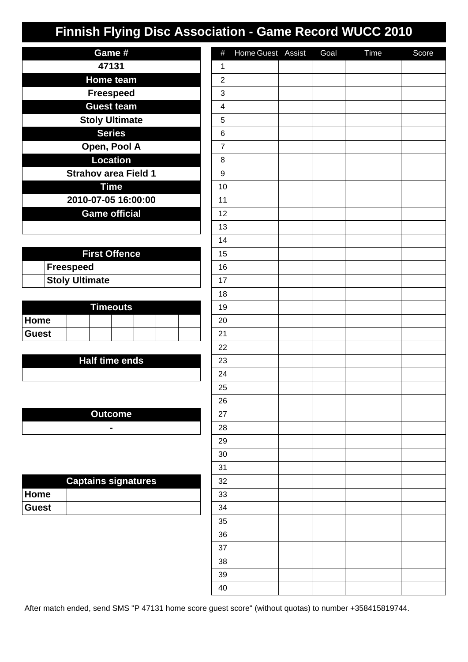| Game #                      |
|-----------------------------|
| 47131                       |
| <b>Home team</b>            |
| <b>Freespeed</b>            |
| <b>Guest team</b>           |
| <b>Stoly Ultimate</b>       |
| <b>Series</b>               |
| Open, Pool A                |
| <b>Location</b>             |
| <b>Strahov area Field 1</b> |
| <b>Time</b>                 |
| 2010-07-05 16:00:00         |
| <b>Game official</b>        |
|                             |

| <b>First Offence</b> |                       |  |  |  |  |  |
|----------------------|-----------------------|--|--|--|--|--|
|                      | <b>Freespeed</b>      |  |  |  |  |  |
|                      | <b>Stoly Ultimate</b> |  |  |  |  |  |

| Timeouts     |  |  |  |  |  |  |  |
|--------------|--|--|--|--|--|--|--|
| <b>Home</b>  |  |  |  |  |  |  |  |
| <b>Guest</b> |  |  |  |  |  |  |  |

#### **Half time ends**

**Outcome -**

| <b>Captains signatures</b> |  |  |  |  |  |  |
|----------------------------|--|--|--|--|--|--|
| ∣Home                      |  |  |  |  |  |  |
| <b>Guest</b>               |  |  |  |  |  |  |

| $\#$                    |  | Home Guest Assist | Goal | Time | Score |
|-------------------------|--|-------------------|------|------|-------|
| $\mathbf 1$             |  |                   |      |      |       |
| $\overline{c}$          |  |                   |      |      |       |
| 3                       |  |                   |      |      |       |
| $\overline{\mathbf{4}}$ |  |                   |      |      |       |
| $\mathbf 5$             |  |                   |      |      |       |
| 6                       |  |                   |      |      |       |
| $\boldsymbol{7}$        |  |                   |      |      |       |
| 8                       |  |                   |      |      |       |
| 9                       |  |                   |      |      |       |
| 10                      |  |                   |      |      |       |
| 11                      |  |                   |      |      |       |
| 12                      |  |                   |      |      |       |
| 13                      |  |                   |      |      |       |
| 14                      |  |                   |      |      |       |
| 15                      |  |                   |      |      |       |
| $16\,$                  |  |                   |      |      |       |
| 17                      |  |                   |      |      |       |
| 18                      |  |                   |      |      |       |
| 19                      |  |                   |      |      |       |
| $20\,$                  |  |                   |      |      |       |
| 21                      |  |                   |      |      |       |
| 22                      |  |                   |      |      |       |
| 23                      |  |                   |      |      |       |
| 24                      |  |                   |      |      |       |
| 25                      |  |                   |      |      |       |
| 26                      |  |                   |      |      |       |
| 27                      |  |                   |      |      |       |
| 28                      |  |                   |      |      |       |
| 29                      |  |                   |      |      |       |
| $30\,$                  |  |                   |      |      |       |
| 31                      |  |                   |      |      |       |
| 32                      |  |                   |      |      |       |
| 33                      |  |                   |      |      |       |
| 34                      |  |                   |      |      |       |
| $35\,$                  |  |                   |      |      |       |
| $36\,$                  |  |                   |      |      |       |
| $37\,$                  |  |                   |      |      |       |
| $38\,$                  |  |                   |      |      |       |
| 39                      |  |                   |      |      |       |
| $40\,$                  |  |                   |      |      |       |

After match ended, send SMS "P 47131 home score guest score" (without quotas) to number +358415819744.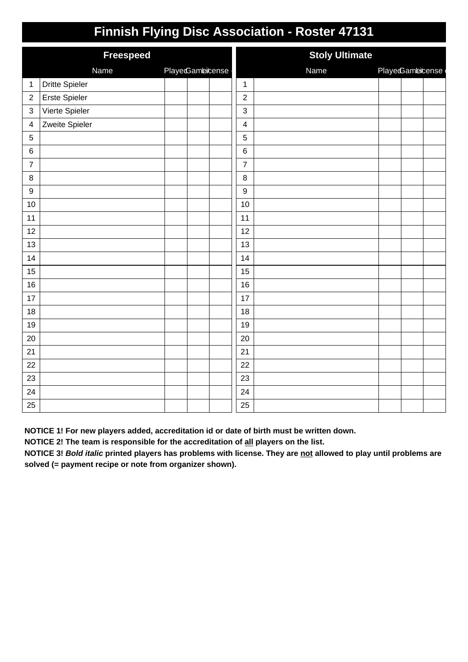|                         | <b>Freespeed</b>      |                 | <b>Stoly Ultimate</b>   |      |                  |  |  |
|-------------------------|-----------------------|-----------------|-------------------------|------|------------------|--|--|
|                         | Name                  | PlayeGambicense |                         | Name | PlayedGambicense |  |  |
| $\mathbf{1}$            | <b>Dritte Spieler</b> |                 | $\mathbf{1}$            |      |                  |  |  |
| $\overline{2}$          | Erste Spieler         |                 | $\overline{2}$          |      |                  |  |  |
| $\mathsf 3$             | Vierte Spieler        |                 | 3                       |      |                  |  |  |
| $\overline{\mathbf{4}}$ | Zweite Spieler        |                 | $\overline{\mathbf{4}}$ |      |                  |  |  |
| $\sqrt{5}$              |                       |                 | 5                       |      |                  |  |  |
| $\,6$                   |                       |                 | $\,6$                   |      |                  |  |  |
| $\boldsymbol{7}$        |                       |                 | $\overline{7}$          |      |                  |  |  |
| $\bf 8$                 |                       |                 | 8                       |      |                  |  |  |
| $\boldsymbol{9}$        |                       |                 | $9$                     |      |                  |  |  |
| 10                      |                       |                 | 10                      |      |                  |  |  |
| 11                      |                       |                 | 11                      |      |                  |  |  |
| 12                      |                       |                 | 12                      |      |                  |  |  |
| 13                      |                       |                 | 13                      |      |                  |  |  |
| 14                      |                       |                 | 14                      |      |                  |  |  |
| 15                      |                       |                 | 15                      |      |                  |  |  |
| 16                      |                       |                 | 16                      |      |                  |  |  |
| 17                      |                       |                 | 17                      |      |                  |  |  |
| 18                      |                       |                 | 18                      |      |                  |  |  |
| $19$                    |                       |                 | 19                      |      |                  |  |  |
| 20                      |                       |                 | 20                      |      |                  |  |  |
| 21                      |                       |                 | 21                      |      |                  |  |  |
| 22                      |                       |                 | 22                      |      |                  |  |  |
| 23                      |                       |                 | 23                      |      |                  |  |  |
| 24                      |                       |                 | 24                      |      |                  |  |  |
| 25                      |                       |                 | 25                      |      |                  |  |  |

**NOTICE 1! For new players added, accreditation id or date of birth must be written down.**

**NOTICE 2! The team is responsible for the accreditation of all players on the list.**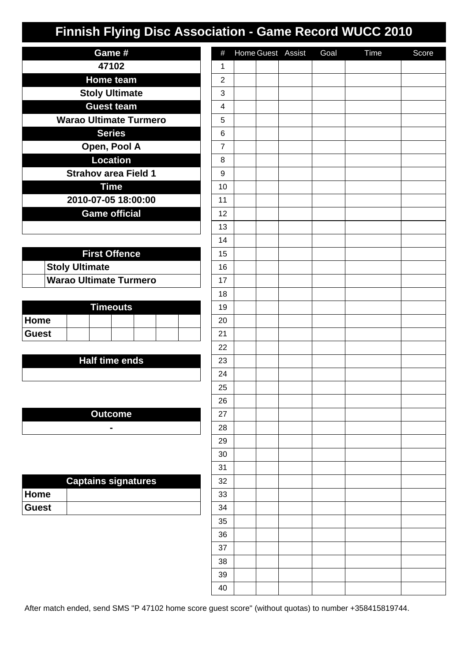| Game #                        |
|-------------------------------|
| 47102                         |
| <b>Home team</b>              |
| <b>Stoly Ultimate</b>         |
| <b>Guest team</b>             |
| <b>Warao Ultimate Turmero</b> |
| <b>Series</b>                 |
| Open, Pool A                  |
| <b>Location</b>               |
| <b>Strahov area Field 1</b>   |
| <b>Time</b>                   |
| 2010-07-05 18:00:00           |
| <b>Game official</b>          |
|                               |

| <b>First Offence</b> |                               |  |  |  |  |
|----------------------|-------------------------------|--|--|--|--|
|                      | <b>Stoly Ultimate</b>         |  |  |  |  |
|                      | <b>Warao Ultimate Turmero</b> |  |  |  |  |

| <b>Timeouts</b> |  |  |  |  |  |  |  |
|-----------------|--|--|--|--|--|--|--|
| ∣Home           |  |  |  |  |  |  |  |
| ∣Guest          |  |  |  |  |  |  |  |

### **Half time ends**

**Outcome -**

| <b>Captains signatures</b> |  |  |  |  |  |  |
|----------------------------|--|--|--|--|--|--|
| ∣Home                      |  |  |  |  |  |  |
| <b>Guest</b>               |  |  |  |  |  |  |

| $\#$                      |  | Home Guest Assist | Goal | Time | Score |
|---------------------------|--|-------------------|------|------|-------|
| $\mathbf 1$               |  |                   |      |      |       |
| $\boldsymbol{2}$          |  |                   |      |      |       |
| $\ensuremath{\mathsf{3}}$ |  |                   |      |      |       |
| $\overline{\mathbf{4}}$   |  |                   |      |      |       |
| 5                         |  |                   |      |      |       |
| 6                         |  |                   |      |      |       |
| $\overline{7}$            |  |                   |      |      |       |
| 8                         |  |                   |      |      |       |
| 9                         |  |                   |      |      |       |
| 10                        |  |                   |      |      |       |
| 11                        |  |                   |      |      |       |
| 12                        |  |                   |      |      |       |
| 13                        |  |                   |      |      |       |
| 14                        |  |                   |      |      |       |
| 15                        |  |                   |      |      |       |
| $16\,$                    |  |                   |      |      |       |
| 17                        |  |                   |      |      |       |
| 18                        |  |                   |      |      |       |
| 19                        |  |                   |      |      |       |
| $20\,$                    |  |                   |      |      |       |
| 21                        |  |                   |      |      |       |
| 22                        |  |                   |      |      |       |
| 23                        |  |                   |      |      |       |
| 24                        |  |                   |      |      |       |
| 25                        |  |                   |      |      |       |
| 26                        |  |                   |      |      |       |
| 27                        |  |                   |      |      |       |
| 28                        |  |                   |      |      |       |
| 29                        |  |                   |      |      |       |
| $30\,$                    |  |                   |      |      |       |
| 31                        |  |                   |      |      |       |
| 32                        |  |                   |      |      |       |
| 33                        |  |                   |      |      |       |
| 34                        |  |                   |      |      |       |
| $35\,$                    |  |                   |      |      |       |
| $36\,$                    |  |                   |      |      |       |
| $37\,$                    |  |                   |      |      |       |
| $38\,$                    |  |                   |      |      |       |
| 39                        |  |                   |      |      |       |
| $40\,$                    |  |                   |      |      |       |

After match ended, send SMS "P 47102 home score guest score" (without quotas) to number +358415819744.